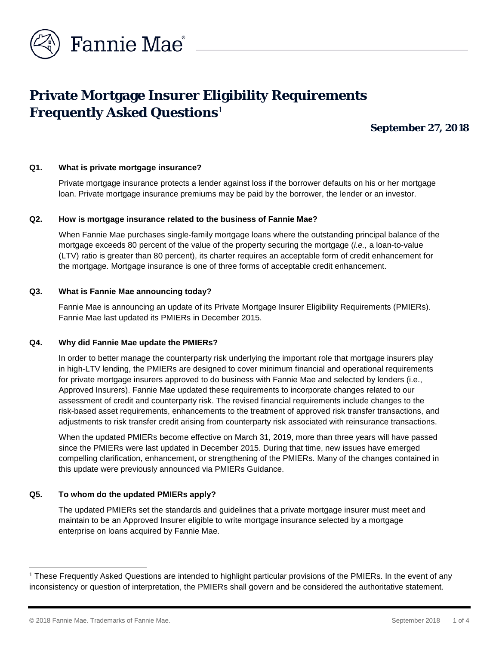

# **Private Mortgage Insurer Eligibility Requirements Frequently Asked Questions**[1](#page-0-0)

**September 27, 2018**

## **Q1. What is private mortgage insurance?**

Private mortgage insurance protects a lender against loss if the borrower defaults on his or her mortgage loan. Private mortgage insurance premiums may be paid by the borrower, the lender or an investor.

#### **Q2. How is mortgage insurance related to the business of Fannie Mae?**

When Fannie Mae purchases single-family mortgage loans where the outstanding principal balance of the mortgage exceeds 80 percent of the value of the property securing the mortgage (*i.e.,* a loan-to-value (LTV) ratio is greater than 80 percent), its charter requires an acceptable form of credit enhancement for the mortgage. Mortgage insurance is one of three forms of acceptable credit enhancement.

#### **Q3. What is Fannie Mae announcing today?**

Fannie Mae is announcing an update of its Private Mortgage Insurer Eligibility Requirements (PMIERs). Fannie Mae last updated its PMIERs in December 2015.

#### **Q4. Why did Fannie Mae update the PMIERs?**

In order to better manage the counterparty risk underlying the important role that mortgage insurers play in high-LTV lending, the PMIERs are designed to cover minimum financial and operational requirements for private mortgage insurers approved to do business with Fannie Mae and selected by lenders (i.e., Approved Insurers). Fannie Mae updated these requirements to incorporate changes related to our assessment of credit and counterparty risk. The revised financial requirements include changes to the risk-based asset requirements, enhancements to the treatment of approved risk transfer transactions, and adjustments to risk transfer credit arising from counterparty risk associated with reinsurance transactions.

When the updated PMIERs become effective on March 31, 2019, more than three years will have passed since the PMIERs were last updated in December 2015. During that time, new issues have emerged compelling clarification, enhancement, or strengthening of the PMIERs. Many of the changes contained in this update were previously announced via PMIERs Guidance.

#### **Q5. To whom do the updated PMIERs apply?**

The updated PMIERs set the standards and guidelines that a private mortgage insurer must meet and maintain to be an Approved Insurer eligible to write mortgage insurance selected by a mortgage enterprise on loans acquired by Fannie Mae.

l

<span id="page-0-0"></span><sup>1</sup> These Frequently Asked Questions are intended to highlight particular provisions of the PMIERs. In the event of any inconsistency or question of interpretation, the PMIERs shall govern and be considered the authoritative statement.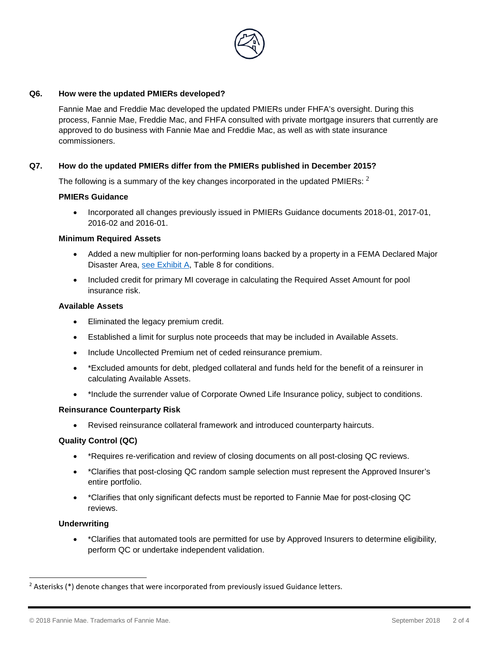

# **Q6. How were the updated PMIERs developed?**

Fannie Mae and Freddie Mac developed the updated PMIERs under FHFA's oversight. During this process, Fannie Mae, Freddie Mac, and FHFA consulted with private mortgage insurers that currently are approved to do business with Fannie Mae and Freddie Mac, as well as with state insurance commissioners.

# **Q7. How do the updated PMIERs differ from the PMIERs published in December 2015?**

The following is a summary of the key changes incorporated in the updated PMIERs:  $<sup>2</sup>$  $<sup>2</sup>$  $<sup>2</sup>$ </sup>

## **PMIERs Guidance**

• Incorporated all changes previously issued in PMIERs Guidance documents 2018-01, 2017-01, 2016-02 and 2016-01.

## **Minimum Required Assets**

- Added a new multiplier for non-performing loans backed by a property in a FEMA Declared Major Disaster Area, [see Exhibit A,](https://www.fanniemae.com/content/eligibility_information/private-mortgage-insurer-eligibility-requirements.pdf) Table 8 for conditions.
- Included credit for primary MI coverage in calculating the Required Asset Amount for pool insurance risk.

# **Available Assets**

- Eliminated the legacy premium credit.
- Established a limit for surplus note proceeds that may be included in Available Assets.
- Include Uncollected Premium net of ceded reinsurance premium.
- \*Excluded amounts for debt, pledged collateral and funds held for the benefit of a reinsurer in calculating Available Assets.
- \*Include the surrender value of Corporate Owned Life Insurance policy, subject to conditions.

## **Reinsurance Counterparty Risk**

• Revised reinsurance collateral framework and introduced counterparty haircuts.

# **Quality Control (QC)**

- \*Requires re-verification and review of closing documents on all post-closing QC reviews.
- \*Clarifies that post-closing QC random sample selection must represent the Approved Insurer's entire portfolio.
- \*Clarifies that only significant defects must be reported to Fannie Mae for post-closing QC reviews.

## **Underwriting**

-

• \*Clarifies that automated tools are permitted for use by Approved Insurers to determine eligibility, perform QC or undertake independent validation.

<span id="page-1-0"></span><sup>&</sup>lt;sup>2</sup> Asterisks (\*) denote changes that were incorporated from previously issued Guidance letters.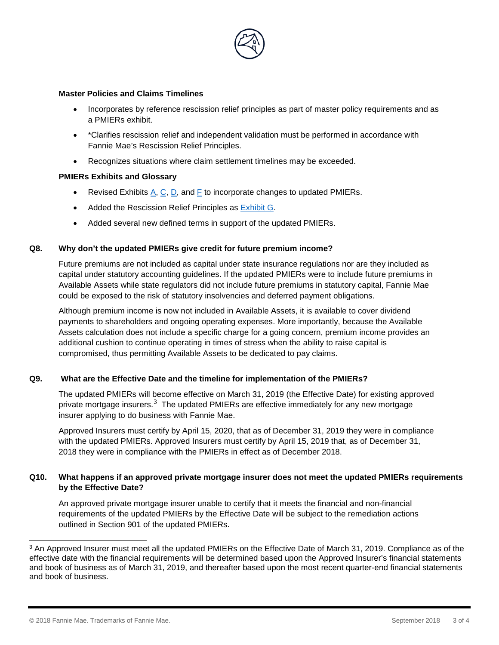

## **Master Policies and Claims Timelines**

- Incorporates by reference rescission relief principles as part of master policy requirements and as a PMIERs exhibit.
- \*Clarifies rescission relief and independent validation must be performed in accordance with Fannie Mae's Rescission Relief Principles.
- Recognizes situations where claim settlement timelines may be exceeded.

# **PMIERs Exhibits and Glossary**

- Revised Exhibits  $A, C, D$  $A, C, D$  $A, C, D$ , and  $F$  to incorporate changes to updated PMIERs.
- Added the Rescission Relief Principles as [Exhibit G.](https://www.fanniemae.com/content/eligibility_information/amended-and-restated-gse-rescission-relief-principles.pdf)
- Added several new defined terms in support of the updated PMIERs.

## **Q8. Why don't the updated PMIERs give credit for future premium income?**

Future premiums are not included as capital under state insurance regulations nor are they included as capital under statutory accounting guidelines. If the updated PMIERs were to include future premiums in Available Assets while state regulators did not include future premiums in statutory capital, Fannie Mae could be exposed to the risk of statutory insolvencies and deferred payment obligations.

Although premium income is now not included in Available Assets, it is available to cover dividend payments to shareholders and ongoing operating expenses. More importantly, because the Available Assets calculation does not include a specific charge for a going concern, premium income provides an additional cushion to continue operating in times of stress when the ability to raise capital is compromised, thus permitting Available Assets to be dedicated to pay claims.

# **Q9. What are the Effective Date and the timeline for implementation of the PMIERs?**

The updated PMIERs will become effective on March 31, 2019 (the Effective Date) for existing approved private mortgage insurers.<sup>[3](#page-2-0)</sup> The updated PMIERs are effective immediately for any new mortgage insurer applying to do business with Fannie Mae.

Approved Insurers must certify by April 15, 2020, that as of December 31, 2019 they were in compliance with the updated PMIERs. Approved Insurers must certify by April 15, 2019 that, as of December 31, 2018 they were in compliance with the PMIERs in effect as of December 2018.

# **Q10. What happens if an approved private mortgage insurer does not meet the updated PMIERs requirements by the Effective Date?**

An approved private mortgage insurer unable to certify that it meets the financial and non-financial requirements of the updated PMIERs by the Effective Date will be subject to the remediation actions outlined in Section 901 of the updated PMIERs.

<span id="page-2-0"></span><sup>3</sup> An Approved Insurer must meet all the updated PMIERs on the Effective Date of March 31, 2019. Compliance as of the effective date with the financial requirements will be determined based upon the Approved Insurer's financial statements and book of business as of March 31, 2019, and thereafter based upon the most recent quarter-end financial statements and book of business. j